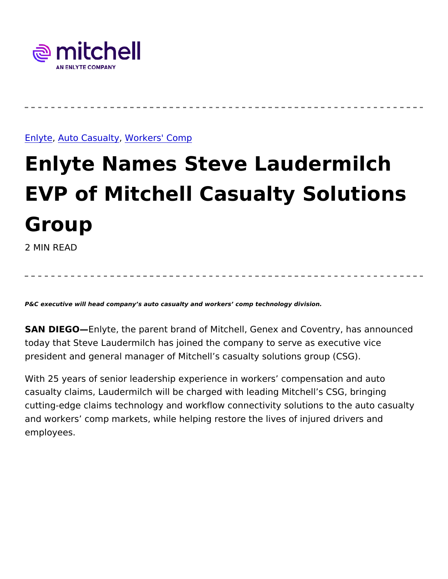### [Enly](https://www.mitchell.com/insights/enlyte)te uto Casu, a Wtgrkers' Comp

# Enlyte Names Steve Laudermil EVP of Mitchell Casualty Solu Group 2 MIN READ

P&C executive will head company s auto casualty and workers comp technology division.

SAN DIEG@nlyte, the parent brand of Mitchell, Genex and Coventry today that Steve Laudermilch has joined the company to serve as e president and general manager of Mitchell s casualty solutions grou

With 25 years of senior leadership experience in workers compens casualty claims, Laudermilch will be charged with leading Mitchell cutting-edge claims technology and workflow connectivity solutions and workers comp markets, while helping restore the lives of injur employees.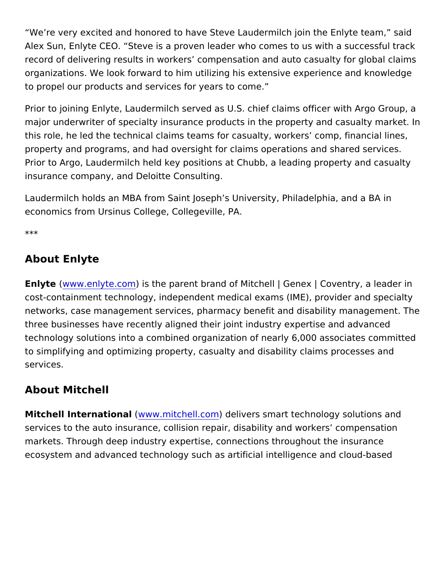We re very excited and honored to have Steve Laudermilch join the Alex Sun, Enlyte CEO. Steve is a proven leader who comes to us w record of delivering results in workers compensation and auto case organizations. We look forward to him utilizing his extensive exper to propel our products and services for years to come.

Prior to joining Enlyte, Laudermilch served as U.S. chief claims off major underwriter of specialty insurance products in the property a this role, he led the technical claims teams for casualty, workers and property and programs, and had oversight for claims operations and Prior to Argo, Laudermilch held key positions at Chubb, a leading p insurance company, and Deloitte Consulting.

Laudermilch holds an MBA from Saint Joseph s University, Philadel economics from Ursinus College, Collegeville, PA.

\*\*\*

### About Enlyte

Enlytewww.enlyte.com th[e](http://www.enlyte.com/) parent brand of Mitchell | Genex | Covent cost-containment technology, independent medical exams (IME), pro networks, case management services, pharmacy benefit and disabil three businesses have recently aligned their joint industry expertis technology solutions into a combined organization of nearly 6,000 and to simplifying and optimizing property, casualty and disability clain services.

#### About Mitchell

Mitchell Internatio(maww.mitchell) comentivers smart technology solution services to the auto insurance, collision repair, disability and work markets. Through deep industry expertise, connections throughout to ecosystem and advanced technology such as artificial intelligence and cloud